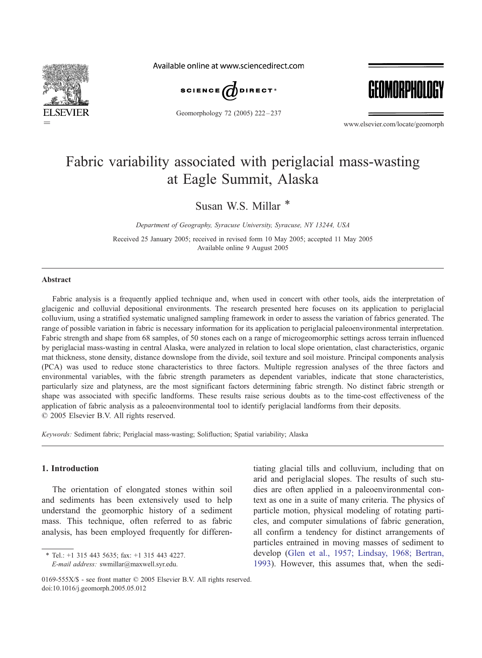

Available online at www.sciencedirect.com



Geomorphology 72 (2005) 222 – 237



www.elsevier.com/locate/geomorph

# Fabric variability associated with periglacial mass-wasting at Eagle Summit, Alaska

Susan W.S. Millar \*

Department of Geography, Syracuse University, Syracuse, NY 13244, USA

Received 25 January 2005; received in revised form 10 May 2005; accepted 11 May 2005 Available online 9 August 2005

#### Abstract

Fabric analysis is a frequently applied technique and, when used in concert with other tools, aids the interpretation of glacigenic and colluvial depositional environments. The research presented here focuses on its application to periglacial colluvium, using a stratified systematic unaligned sampling framework in order to assess the variation of fabrics generated. The range of possible variation in fabric is necessary information for its application to periglacial paleoenvironmental interpretation. Fabric strength and shape from 68 samples, of 50 stones each on a range of microgeomorphic settings across terrain influenced by periglacial mass-wasting in central Alaska, were analyzed in relation to local slope orientation, clast characteristics, organic mat thickness, stone density, distance downslope from the divide, soil texture and soil moisture. Principal components analysis (PCA) was used to reduce stone characteristics to three factors. Multiple regression analyses of the three factors and environmental variables, with the fabric strength parameters as dependent variables, indicate that stone characteristics, particularly size and platyness, are the most significant factors determining fabric strength. No distinct fabric strength or shape was associated with specific landforms. These results raise serious doubts as to the time-cost effectiveness of the application of fabric analysis as a paleoenvironmental tool to identify periglacial landforms from their deposits.  $\odot$  2005 Elsevier B.V. All rights reserved.

Keywords: Sediment fabric; Periglacial mass-wasting; Solifluction; Spatial variability; Alaska

## 1. Introduction

The orientation of elongated stones within soil and sediments has been extensively used to help understand the geomorphic history of a sediment mass. This technique, often referred to as fabric analysis, has been employed frequently for differen-

\* Tel.: +1 315 443 5635; fax: +1 315 443 4227. E-mail address: swmillar@maxwell.syr.edu.

tiating glacial tills and colluvium, including that on arid and periglacial slopes. The results of such studies are often applied in a paleoenvironmental context as one in a suite of many criteria. The physics of particle motion, physical modeling of rotating particles, and computer simulations of fabric generation, all confirm a tendency for distinct arrangements of particles entrained in moving masses of sediment to develop ([Glen et al., 1957; Lindsay, 1968; Bertran,](#page-14-0) 1993). However, this assumes that, when the sedi-

<sup>0169-555</sup> $X/S$  - see front matter  $\odot$  2005 Elsevier B.V. All rights reserved. doi:10.1016/j.geomorph.2005.05.012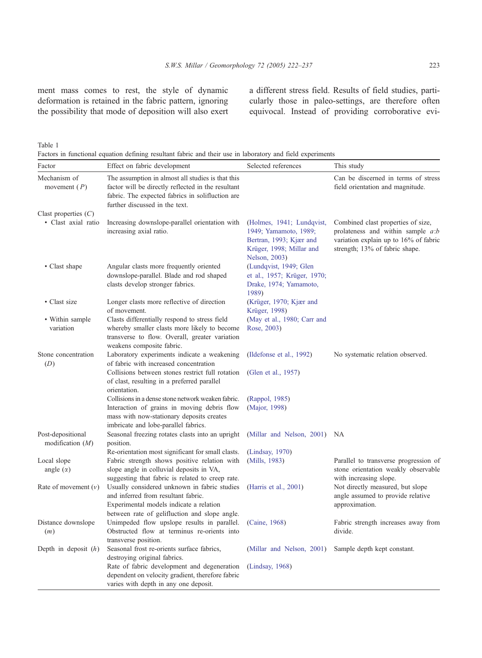<span id="page-1-0"></span>ment mass comes to rest, the style of dynamic deformation is retained in the fabric pattern, ignoring the possibility that mode of deposition will also exert a different stress field. Results of field studies, particularly those in paleo-settings, are therefore often equivocal. Instead of providing corroborative evi-

Table 1

Factors in functional equation defining resultant fabric and their use in laboratory and field experiments

| Factor                                  | Effect on fabric development                                                                                                                                                                  | Selected references                                                                                                        | This study                                                                                                                                           |
|-----------------------------------------|-----------------------------------------------------------------------------------------------------------------------------------------------------------------------------------------------|----------------------------------------------------------------------------------------------------------------------------|------------------------------------------------------------------------------------------------------------------------------------------------------|
| Mechanism of<br>movement $(P)$          | The assumption in almost all studies is that this<br>factor will be directly reflected in the resultant<br>fabric. The expected fabrics in solifluction are<br>further discussed in the text. |                                                                                                                            | Can be discerned in terms of stress<br>field orientation and magnitude.                                                                              |
| Clast properties $(C)$                  |                                                                                                                                                                                               |                                                                                                                            |                                                                                                                                                      |
| · Clast axial ratio                     | Increasing downslope-parallel orientation with<br>increasing axial ratio.                                                                                                                     | (Holmes, 1941; Lundqvist,<br>1949; Yamamoto, 1989;<br>Bertran, 1993; Kjær and<br>Krüger, 1998; Millar and<br>Nelson, 2003) | Combined clast properties of size,<br>prolateness and within sample $a:b$<br>variation explain up to 16% of fabric<br>strength; 13% of fabric shape. |
| • Clast shape                           | Angular clasts more frequently oriented<br>downslope-parallel. Blade and rod shaped<br>clasts develop stronger fabrics.                                                                       | (Lundqvist, 1949; Glen<br>et al., 1957; Krüger, 1970;<br>Drake, 1974; Yamamoto,<br>1989)                                   |                                                                                                                                                      |
| • Clast size                            | Longer clasts more reflective of direction<br>of movement.                                                                                                                                    | (Krüger, 1970; Kjær and<br>Krüger, 1998)                                                                                   |                                                                                                                                                      |
| • Within sample<br>variation            | Clasts differentially respond to stress field<br>whereby smaller clasts more likely to become<br>transverse to flow. Overall, greater variation<br>weakens composite fabric.                  | (May et al., 1980; Carr and<br>Rose, 2003)                                                                                 |                                                                                                                                                      |
| Stone concentration<br>(D)              | Laboratory experiments indicate a weakening<br>of fabric with increased concentration                                                                                                         | (Ildefonse et al., 1992)                                                                                                   | No systematic relation observed.                                                                                                                     |
|                                         | Collisions between stones restrict full rotation<br>of clast, resulting in a preferred parallel<br>orientation.                                                                               | (Glen et al., 1957)                                                                                                        |                                                                                                                                                      |
|                                         | Collisions in a dense stone network weaken fabric.<br>Interaction of grains in moving debris flow<br>mass with now-stationary deposits creates<br>imbricate and lobe-parallel fabrics.        | (Rappol, 1985)<br>(Major, 1998)                                                                                            |                                                                                                                                                      |
| Post-depositional<br>modification $(M)$ | Seasonal freezing rotates clasts into an upright<br>position.                                                                                                                                 | (Millar and Nelson, 2001) NA                                                                                               |                                                                                                                                                      |
|                                         | Re-orientation most significant for small clasts.                                                                                                                                             | (Lindsay, 1970)                                                                                                            |                                                                                                                                                      |
| Local slope<br>angle $(\alpha)$         | Fabric strength shows positive relation with<br>slope angle in colluvial deposits in VA,<br>suggesting that fabric is related to creep rate.                                                  | (Mills, 1983)                                                                                                              | Parallel to transverse progression of<br>stone orientation weakly observable<br>with increasing slope.                                               |
| Rate of movement $(v)$                  | Usually considered unknown in fabric studies<br>and inferred from resultant fabric.<br>Experimental models indicate a relation<br>between rate of gelifluction and slope angle.               | (Harris et al., 2001)                                                                                                      | Not directly measured, but slope<br>angle assumed to provide relative<br>approximation.                                                              |
| Distance downslope<br>(m)               | Unimpeded flow upslope results in parallel.<br>Obstructed flow at terminus re-orients into<br>transverse position.                                                                            | (Caine, 1968)                                                                                                              | Fabric strength increases away from<br>divide.                                                                                                       |
| Depth in deposit $(h)$                  | Seasonal frost re-orients surface fabrics,<br>destroying original fabrics.                                                                                                                    | (Millar and Nelson, 2001)                                                                                                  | Sample depth kept constant.                                                                                                                          |
|                                         | Rate of fabric development and degeneration<br>dependent on velocity gradient, therefore fabric<br>varies with depth in any one deposit.                                                      | (Lindsay, 1968)                                                                                                            |                                                                                                                                                      |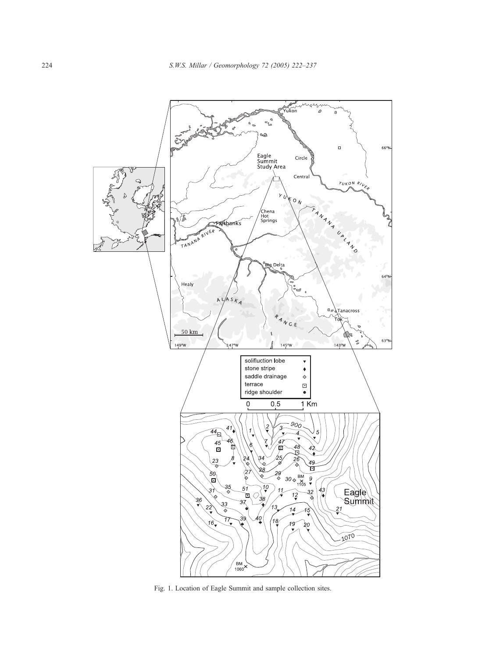<span id="page-2-0"></span>

Fig. 1. Location of Eagle Summit and sample collection sites.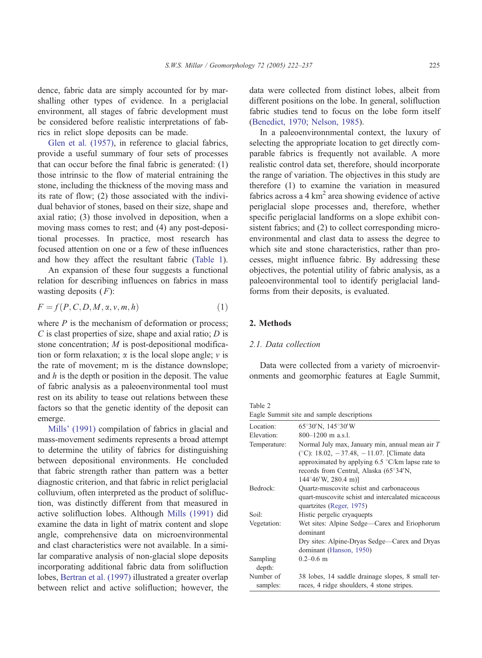<span id="page-3-0"></span>dence, fabric data are simply accounted for by marshalling other types of evidence. In a periglacial environment, all stages of fabric development must be considered before realistic interpretations of fabrics in relict slope deposits can be made.

[Glen et al. \(1957\),](#page-14-0) in reference to glacial fabrics, provide a useful summary of four sets of processes that can occur before the final fabric is generated: (1) those intrinsic to the flow of material entraining the stone, including the thickness of the moving mass and its rate of flow; (2) those associated with the individual behavior of stones, based on their size, shape and axial ratio; (3) those involved in deposition, when a moving mass comes to rest; and (4) any post-depositional processes. In practice, most research has focused attention on one or a few of these influences and how they affect the resultant fabric ([Table 1\)](#page-1-0).

An expansion of these four suggests a functional relation for describing influences on fabrics in mass wasting deposits  $(F)$ :

$$
F = f(P, C, D, M, \alpha, \nu, m, h)
$$
\n<sup>(1)</sup>

where  $P$  is the mechanism of deformation or process;  $C$  is clast properties of size, shape and axial ratio;  $D$  is stone concentration;  $M$  is post-depositional modification or form relaxation;  $\alpha$  is the local slope angle;  $\nu$  is the rate of movement; m is the distance downslope; and  $h$  is the depth or position in the deposit. The value of fabric analysis as a paleoenvironmental tool must rest on its ability to tease out relations between these factors so that the genetic identity of the deposit can emerge.

[Mills' \(1991\)](#page-15-0) compilation of fabrics in glacial and mass-movement sediments represents a broad attempt to determine the utility of fabrics for distinguishing between depositional environments. He concluded that fabric strength rather than pattern was a better diagnostic criterion, and that fabric in relict periglacial colluvium, often interpreted as the product of solifluction, was distinctly different from that measured in active solifluction lobes. Although [Mills \(1991\)](#page-15-0) did examine the data in light of matrix content and slope angle, comprehensive data on microenvironmental and clast characteristics were not available. In a similar comparative analysis of non-glacial slope deposits incorporating additional fabric data from solifluction lobes, [Bertran et al. \(1997\)](#page-14-0) illustrated a greater overlap between relict and active solifluction; however, the data were collected from distinct lobes, albeit from different positions on the lobe. In general, solifluction fabric studies tend to focus on the lobe form itself ([Benedict, 1970; Nelson, 1985\)](#page-14-0).

In a paleoenvironnmental context, the luxury of selecting the appropriate location to get directly comparable fabrics is frequently not available. A more realistic control data set, therefore, should incorporate the range of variation. The objectives in this study are therefore (1) to examine the variation in measured fabrics across a  $4 \text{ km}^2$  area showing evidence of active periglacial slope processes and, therefore, whether specific periglacial landforms on a slope exhibit consistent fabrics; and (2) to collect corresponding microenvironmental and clast data to assess the degree to which site and stone characteristics, rather than processes, might influence fabric. By addressing these objectives, the potential utility of fabric analysis, as a paleoenvironmental tool to identify periglacial landforms from their deposits, is evaluated.

## 2. Methods

## 2.1. Data collection

Data were collected from a variety of microenvironments and geomorphic features at Eagle Summit,

|--|--|

| Eagle Summit site and sample descriptions |  |
|-------------------------------------------|--|
|-------------------------------------------|--|

| Location:             | 65°30'N, 145°30'W                                                                                                                                                                                                                    |
|-----------------------|--------------------------------------------------------------------------------------------------------------------------------------------------------------------------------------------------------------------------------------|
| Elevation:            | $800 - 1200$ m a.s.l.                                                                                                                                                                                                                |
| Temperature:          | Normal July max, January min, annual mean air T<br>(°C): 18.02, $-37.48$ , $-11.07$ . [Climate data<br>approximated by applying $6.5$ °C/km lapse rate to<br>records from Central, Alaska (65°34'N,<br>$144^{\circ}46'$ W, 280.4 m)] |
| Bedrock:              | Quartz-muscovite schist and carbonaceous<br>quart-muscovite schist and intercalated micaceous<br>quartzites (Reger, 1975)                                                                                                            |
| Soil:                 | Histic pergelic cryaquepts                                                                                                                                                                                                           |
| Vegetation:           | Wet sites: Alpine Sedge—Carex and Eriophorum<br>dominant<br>Dry sites: Alpine-Dryas Sedge—Carex and Dryas<br>dominant (Hanson, 1950)                                                                                                 |
| Sampling<br>depth:    | $0.2 - 0.6$ m                                                                                                                                                                                                                        |
| Number of<br>samples: | 38 lobes, 14 saddle drainage slopes, 8 small ter-<br>races, 4 ridge shoulders, 4 stone stripes.                                                                                                                                      |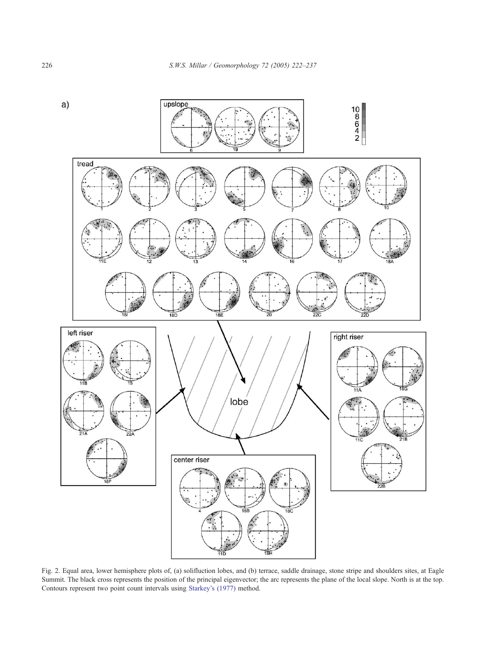<span id="page-4-0"></span>

Fig. 2. Equal area, lower hemisphere plots of, (a) solifluction lobes, and (b) terrace, saddle drainage, stone stripe and shoulders sites, at Eagle Summit. The black cross represents the position of the principal eigenvector; the arc represents the plane of the local slope. North is at the top. Contours represent two point count intervals using [Starkey's \(1977\)](#page-15-0) method.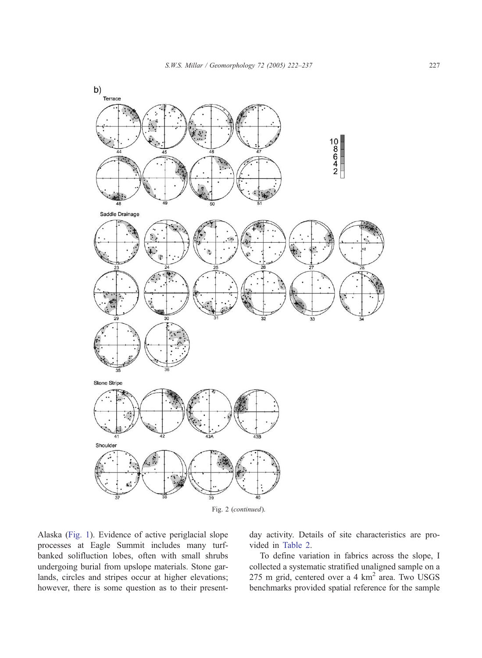

Fig. 2 (continued).

Alaska [\(Fig. 1\)](#page-2-0). Evidence of active periglacial slope processes at Eagle Summit includes many turfbanked solifluction lobes, often with small shrubs undergoing burial from upslope materials. Stone garlands, circles and stripes occur at higher elevations; however, there is some question as to their presentday activity. Details of site characteristics are provided in [Table 2.](#page-3-0)

To define variation in fabrics across the slope, I collected a systematic stratified unaligned sample on a 275 m grid, centered over a 4 km<sup>2</sup> area. Two USGS benchmarks provided spatial reference for the sample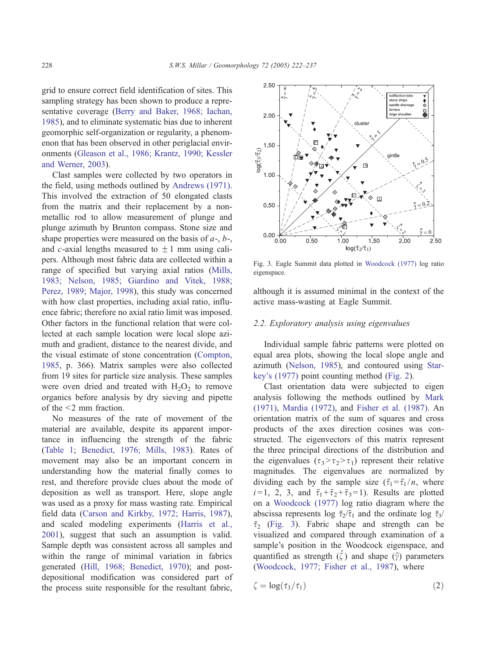<span id="page-6-0"></span>grid to ensure correct field identification of sites. This sampling strategy has been shown to produce a representative coverage ([Berry and Baker, 1968; Iachan,](#page-14-0) 1985), and to eliminate systematic bias due to inherent geomorphic self-organization or regularity, a phenomenon that has been observed in other periglacial environments ([Gleason et al., 1986; Krantz, 1990; Kessler](#page-14-0) and Werner, 2003).

Clast samples were collected by two operators in the field, using methods outlined by [Andrews \(1971\).](#page-14-0) This involved the extraction of 50 elongated clasts from the matrix and their replacement by a nonmetallic rod to allow measurement of plunge and plunge azimuth by Brunton compass. Stone size and shape properties were measured on the basis of  $a$ -,  $b$ -, and c-axial lengths measured to  $\pm 1$  mm using calipers. Although most fabric data are collected within a range of specified but varying axial ratios ([Mills,](#page-15-0) 1983; Nelson, 1985; Giardino and Vitek, 1988; Perez, 1989; Major, 1998), this study was concerned with how clast properties, including axial ratio, influence fabric; therefore no axial ratio limit was imposed. Other factors in the functional relation that were collected at each sample location were local slope azimuth and gradient, distance to the nearest divide, and the visual estimate of stone concentration ([Compton,](#page-14-0) 1985, p. 366). Matrix samples were also collected from 19 sites for particle size analysis. These samples were oven dried and treated with  $H_2O_2$  to remove organics before analysis by dry sieving and pipette of the  $\leq$  mm fraction.

No measures of the rate of movement of the material are available, despite its apparent importance in influencing the strength of the fabric ([Table 1;](#page-1-0) [Benedict, 1976; Mills, 1983\)](#page-14-0). Rates of movement may also be an important concern in understanding how the material finally comes to rest, and therefore provide clues about the mode of deposition as well as transport. Here, slope angle was used as a proxy for mass wasting rate. Empirical field data ([Carson and Kirkby, 1972; Harris, 1987\)](#page-14-0), and scaled modeling experiments ([Harris et al.,](#page-14-0) 2001), suggest that such an assumption is valid. Sample depth was consistent across all samples and within the range of minimal variation in fabrics generated ([Hill, 1968; Benedict, 1970\)](#page-14-0); and postdepositional modification was considered part of the process suite responsible for the resultant fabric,



Fig. 3. Eagle Summit data plotted in [Woodcock \(1977\)](#page-15-0) log ratio eigenspace.

although it is assumed minimal in the context of the active mass-wasting at Eagle Summit.

#### 2.2. Exploratory analysis using eigenvalues

Individual sample fabric patterns were plotted on equal area plots, showing the local slope angle and azimuth ([Nelson, 1985\)](#page-15-0), and contoured using [Star](#page-15-0)key's (1977) point counting method ([Fig. 2\)](#page-4-0).

Clast orientation data were subjected to eigen analysis following the methods outlined by [Mark](#page-15-0) (1971), [Mardia \(1972\),](#page-15-0) and [Fisher et al. \(1987\).](#page-14-0) An orientation matrix of the sum of squares and cross products of the axes direction cosines was constructed. The eigenvectors of this matrix represent the three principal directions of the distribution and the eigenvalues  $(\tau_3 > \tau_2 > \tau_1)$  represent their relative magnitudes. The eigenvalues are normalized by dividing each by the sample size  $(\bar{\tau}_1 = \bar{\tau}_1 / n$ , where  $i=1, 2, 3,$  and  $\bar{\tau}_1+\bar{\tau}_2+\bar{\tau}_3=1$ ). Results are plotted on a [Woodcock \(1977\)](#page-15-0) log ratio diagram where the abscissa represents log  $\bar{\tau}_2/\bar{\tau}_1$  and the ordinate log  $\bar{\tau}_3$ /  $\bar{\tau}_2$  (Fig. 3). Fabric shape and strength can be visualized and compared through examination of a sample's position in the Woodcock eigenspace, and quantified as strength  $(\hat{\zeta})$  and shape  $(\hat{\gamma})$  parameters ([Woodcock, 1977; Fisher et al., 1987\)](#page-15-0), where

$$
\zeta = \log(\bar{\tau}_3/\bar{\tau}_1) \tag{2}
$$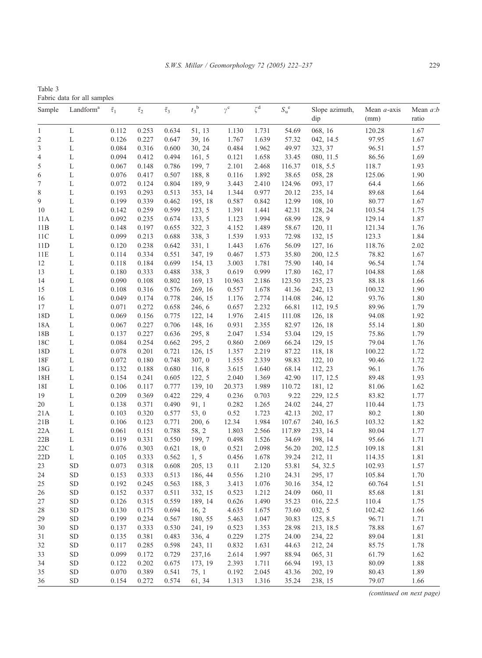<span id="page-7-0"></span>

| Table 3                     |  |  |
|-----------------------------|--|--|
| Fabric data for all samples |  |  |

| Sample          | Landform <sup>a</sup> | $\bar{\tau}_1$ | $\bar{\tau}_2$ | $\bar{\tau}_3$ | $t_3^{\ b}$   | $\gamma^{\rm c}$ | $\zeta^{\rm d}$ | $S_{\mathrm{u}}^{\mathrm{e}}$ | Slope azimuth, | Mean $a$ -axis | Mean $a:b$ |
|-----------------|-----------------------|----------------|----------------|----------------|---------------|------------------|-----------------|-------------------------------|----------------|----------------|------------|
|                 |                       |                |                |                |               |                  |                 |                               | dip            | (mm)           | ratio      |
| 1               | L                     | 0.112          | 0.253          | 0.634          | 51, 13        | 1.130            | 1.731           | 54.69                         | 068, 16        | 120.28         | 1.67       |
| $\overline{c}$  | L                     | 0.126          | 0.227          | 0.647          | 39, 16        | 1.767            | 1.639           | 57.32                         | 042, 14.5      | 97.95          | 1.67       |
| 3               | L                     | 0.084          | 0.316          | 0.600          | 30, 24        | 0.484            | 1.962           | 49.97                         | 323, 37        | 96.51          | 1.57       |
| $\overline{4}$  | L                     | 0.094          | 0.412          | 0.494          | 161, 5        | 0.121            | 1.658           | 33.45                         | 080, 11.5      | 86.56          | 1.69       |
| 5               | L                     | 0.067          | 0.148          | 0.786          | 199, 7        | 2.101            | 2.468           | 116.37                        | 018, 5.5       | 118.7          | 1.93       |
| 6               | L                     | 0.076          | 0.417          | 0.507          | 188, 8        | 0.116            | 1.892           | 38.65                         | 058, 28        | 125.06         | 1.90       |
| 7               | L                     | 0.072          | 0.124          | 0.804          | 189, 9        | 3.443            | 2.410           | 124.96                        | 093, 17        | 64.4           | 1.66       |
| 8               | L                     | 0.193          | 0.293          | 0.513          | 353, 14       | 1.344            | 0.977           | 20.12                         | 235, 14        | 89.68          | 1.64       |
| 9               | L                     | 0.199          | 0.339          | 0.462          | 195, 18       | 0.587            | 0.842           | 12.99                         | 108, 10        | 80.77          | 1.67       |
| 10              | L                     | 0.142          | 0.259          | 0.599          | 123, 5        | 1.391            | 1.441           | 42.31                         | 128, 24        | 103.54         | 1.75       |
| 11A             | L                     | 0.092          | 0.235          | 0.674          | 133, 5        | 1.123            | 1.994           | 68.99                         | 128, 9         | 129.14         | 1.87       |
| 11B             | L                     | 0.148          | 0.197          | 0.655          | 322, 3        | 4.152            | 1.489           | 58.67                         | 120, 11        | 121.34         | 1.76       |
| 11C             | L                     | 0.099          | 0.213          | 0.688          | 338, 3        | 1.539            | 1.933           | 72.98                         | 132, 15        | 123.3          | 1.84       |
| 11D             | L                     | 0.120          | 0.238          | 0.642          | 331, 1        | 1.443            | 1.676           | 56.09                         | 127, 16        | 118.76         | 2.02       |
| 11E             | L                     | 0.114          | 0.334          | 0.551          | 347, 19       | 0.467            | 1.573           | 35.80                         | 200, 12.5      | 78.82          | 1.67       |
| 12              | L                     | 0.118          | 0.184          | 0.699          | 154, 13       | 3.003            | 1.781           | 75.90                         | 140, 14        | 96.54          | 1.74       |
| 13              | L                     | 0.180          | 0.333          | 0.488          | 338, 3        | 0.619            | 0.999           | 17.80                         | 162, 17        | 104.88         | 1.68       |
| 14              | L                     | 0.090          | 0.108          | 0.802          | 169, 13       | 10.963           | 2.186           | 123.50                        | 235, 23        | 88.18          | 1.66       |
| 15              | L                     | 0.108          | 0.316          | 0.576          | 269, 16       | 0.557            | 1.678           | 41.36                         | 242, 13        | 100.32         | 1.90       |
| 16              | L                     | 0.049          | 0.174          | 0.778          | 246, 15       | 1.176            | 2.774           | 114.08                        | 246, 12        | 93.76          | 1.80       |
| 17              | L                     | 0.071          | 0.272          | 0.658          | 246, 6        | 0.657            | 2.232           | 66.81                         | 112, 19.5      | 89.96          | 1.79       |
| 18D             | L                     | 0.069          | 0.156          | 0.775          | 122, 14       | 1.976            | 2.415           | 111.08                        | 126, 18        | 94.08          | 1.92       |
| 18A             | L                     | 0.067          | 0.227          | 0.706          | 148, 16       | 0.931            | 2.355           | 82.97                         | 126, 18        | 55.14          | 1.80       |
| 18 <sub>B</sub> | L                     | 0.137          | 0.227          | 0.636          | 295, 8        | 2.047            | 1.534           | 53.04                         | 129, 15        | 75.86          | 1.79       |
| 18C             | L                     | 0.084          | 0.254          | 0.662          | 295, 2        | 0.860            | 2.069           | 66.24                         | 129, 15        | 79.04          | 1.76       |
| 18D             | L                     | 0.078          | 0.201          | 0.721          | 126, 15       | 1.357            | 2.219           | 87.22                         | 118, 18        | 100.22         | 1.72       |
| 18F             | L                     | 0.072          | 0.180          | 0.748          | 307, 0        | 1.555            | 2.339           | 98.83                         | 122, 10        | 90.46          | 1.72       |
| 18G             | L                     | 0.132          | 0.188          | 0.680          | 116, 8        | 3.615            | 1.640           | 68.14                         | 112, 23        | 96.1           | 1.76       |
| 18H             | L                     | 0.154          | 0.241          | 0.605          | 122, 5        | 2.040            | 1.369           | 42.90                         | 117, 12.5      | 89.48          | 1.93       |
| 18I             | L                     | 0.106          | 0.117          | 0.777          | 139, 10       | 20.373           | 1.989           | 110.72                        | 181, 12        | 81.06          | 1.62       |
| 19              | L                     | 0.209          | 0.369          | 0.422          | 229, 4        | 0.236            | 0.703           | 9.22                          | 229, 12.5      | 83.82          | 1.77       |
| 20              | L                     | 0.138          | 0.371          | 0.490          | 91, 1         | 0.282            | 1.265           | 24.02                         | 244, 27        | 110.44         | 1.73       |
| 21A             | L                     | 0.103          | 0.320          | 0.577          | 53, 0         | 0.52             | 1.723           | 42.13                         | 202, 17        | 80.2           | 1.80       |
| 21B             | L                     | 0.106          | 0.123          | 0.771          | 200, 6        | 12.34            | 1.984           | 107.67                        | 240, 16.5      | 103.32         | 1.82       |
| 22A             | L                     | 0.061          | 0.151          | 0.788          | 58, 2         | 1.803            | 2.566           | 117.89                        | 233, 14        | 80.04          | 1.77       |
| 22B             | L                     | 0.119          | 0.331          | 0.550          | 199, 7        | 0.498            | 1.526           | 34.69                         | 198, 14        | 95.66          | 1.71       |
| 22C             | L                     | 0.076          | 0.303          | 0.621          | 18, 0         | 0.521            | 2.098           | 56.20                         | 202, 12.5      | 109.18         | 1.81       |
| 22D             | L                     | 0.105          | 0.333          | 0.562          | 1, 5          | 0.456            | 1.678           | 39.24                         | 212, 11        | 114.35         | 1.81       |
| 23              | <b>SD</b>             | 0.073          | 0.318          | 0.608          | 205, 13       | 0.11             | 2.120           | 53.81                         | 54, 32.5       | 102.93         | 1.57       |
| 24              | ${\rm SD}$            | 0.153          | 0.333          | 0.513          | 186, 44       | 0.556            | 1.210           | 24.31                         | 295, 17        | 105.84         | 1.70       |
| 25              | ${\rm SD}$            | 0.192          | 0.245          | 0.563          | 188, 3        | 3.413            | 1.076           | 30.16                         | 354, 12        | 60.764         | 1.51       |
| 26              | <b>SD</b>             | 0.152          | 0.337          | 0.511          | 332, 15       | 0.523            | 1.212           | 24.09                         | 060, 11        | 85.68          | 1.81       |
| $27\,$          | ${\rm SD}$            | 0.126          | 0.315          |                | 0.559 189, 14 |                  | 0.626 1.490     | 35.23                         | 016, 22.5      | 110.4          | 1.75       |
| 28              | ${\rm SD}$            | 0.130          | 0.175          | 0.694          | 16, 2         | 4.635            | 1.675           | 73.60                         | 032, 5         | 102.42         | 1.66       |
| 29              | ${\rm SD}$            | 0.199          | 0.234          | 0.567          | 180, 55       | 5.463            | 1.047           | 30.83                         | 125, 8.5       | 96.71          | 1.71       |
| 30              | ${\rm SD}$            | 0.137          | 0.333          | 0.530          | 241, 19       | 0.523            | 1.353           | 28.98                         | 213, 18.5      | 78.88          | 1.67       |
| 31              | ${\rm SD}$            | 0.135          | 0.381          | 0.483          | 336, 4        | 0.229            | 1.275           | 24.00                         | 234, 22        | 89.04          | 1.81       |
| 32              | ${\rm SD}$            | 0.117          | 0.285          | 0.598          | 243, 11       | 0.832            | 1.631           | 44.63                         | 212, 24        | 85.75          | 1.78       |
| 33              | ${\rm SD}$            | 0.099          | 0.172          | 0.729          | 237,16        | 2.614            | 1.997           | 88.94                         | 065, 31        | 61.79          | 1.62       |
| 34              | SD                    | 0.122          | 0.202          | 0.675          | 173, 19       | 2.393            | 1.711           | 66.94                         | 193, 13        | 80.09          | 1.88       |
| 35              | ${\rm SD}$            | 0.070          | 0.389          | 0.541          | 75, 1         | 0.192            | 2.045           | 43.36                         | 202, 19        | 80.43          | 1.89       |
| 36              | <b>SD</b>             | 0.154          | 0.272          | 0.574          | 61, 34        | 1.313            | 1.316           | 35.24                         | 238, 15        | 79.07          | 1.66       |

(continued on next page)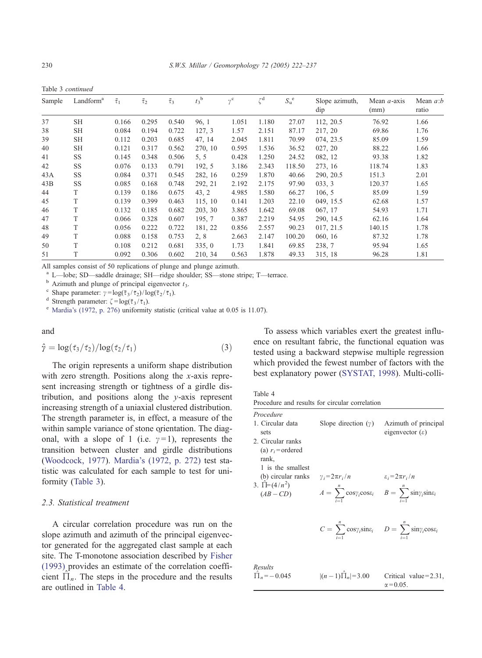Table 3 continued

| Sample | Landform <sup>a</sup> | $\bar{\tau}_1$ | $\bar{\tau}_2$ | $\bar{\tau}_3$ | $t_3^{\ b}$ | $\gamma^{\rm c}$ | Уď    | $S_{\rm u}^{\rm e}$ | Slope azimuth,<br>dip | Mean $a$ -axis<br>(mm) | Mean $a:b$<br>ratio |
|--------|-----------------------|----------------|----------------|----------------|-------------|------------------|-------|---------------------|-----------------------|------------------------|---------------------|
| 37     | <b>SH</b>             | 0.166          | 0.295          | 0.540          | 96, 1       | 1.051            | 1.180 | 27.07               | 112, 20.5             | 76.92                  | 1.66                |
| 38     | <b>SH</b>             | 0.084          | 0.194          | 0.722          | 127, 3      | 1.57             | 2.151 | 87.17               | 217, 20               | 69.86                  | 1.76                |
| 39     | SН                    | 0.112          | 0.203          | 0.685          | 47, 14      | 2.045            | 1.811 | 70.99               | 074, 23.5             | 85.09                  | 1.59                |
| 40     | <b>SH</b>             | 0.121          | 0.317          | 0.562          | 270, 10     | 0.595            | 1.536 | 36.52               | 027, 20               | 88.22                  | 1.66                |
| 41     | <b>SS</b>             | 0.145          | 0.348          | 0.506          | 5, 5        | 0.428            | 1.250 | 24.52               | 082, 12               | 93.38                  | 1.82                |
| 42     | <b>SS</b>             | 0.076          | 0.133          | 0.791          | 192, 5      | 3.186            | 2.343 | 118.50              | 273, 16               | 118.74                 | 1.83                |
| 43A    | <b>SS</b>             | 0.084          | 0.371          | 0.545          | 282, 16     | 0.259            | 1.870 | 40.66               | 290, 20.5             | 151.3                  | 2.01                |
| 43B    | <b>SS</b>             | 0.085          | 0.168          | 0.748          | 292, 21     | 2.192            | 2.175 | 97.90               | 033, 3                | 120.37                 | 1.65                |
| 44     | T                     | 0.139          | 0.186          | 0.675          | 43, 2       | 4.985            | 1.580 | 66.27               | 106, 5                | 85.09                  | 1.59                |
| 45     | T                     | 0.139          | 0.399          | 0.463          | 115, 10     | 0.141            | 1.203 | 22.10               | 049, 15.5             | 62.68                  | 1.57                |
| 46     | T                     | 0.132          | 0.185          | 0.682          | 203, 30     | 3.865            | 1.642 | 69.08               | 067, 17               | 54.93                  | 1.71                |
| 47     | T                     | 0.066          | 0.328          | 0.607          | 195, 7      | 0.387            | 2.219 | 54.95               | 290, 14.5             | 62.16                  | 1.64                |
| 48     | T                     | 0.056          | 0.222          | 0.722          | 181, 22     | 0.856            | 2.557 | 90.23               | 017, 21.5             | 140.15                 | 1.78                |
| 49     | T                     | 0.088          | 0.158          | 0.753          | 2, 8        | 2.663            | 2.147 | 100.20              | 060, 16               | 87.32                  | 1.78                |
| 50     | T                     | 0.108          | 0.212          | 0.681          | 335, 0      | 1.73             | 1.841 | 69.85               | 238, 7                | 95.94                  | 1.65                |
| 51     | T                     | 0.092          | 0.306          | 0.602          | 210, 34     | 0.563            | 1.878 | 49.33               | 315, 18               | 96.28                  | 1.81                |

All samples consist of 50 replications of plunge and plunge azimuth.

<sup>a</sup> L—lobe; SD—saddle drainage; SH—ridge shoulder; SS—stone stripe; T—terrace.<br>
<sup>b</sup> Azimuth and plunge of principal eigenvector  $t_3$ .<br>
<sup>c</sup> Shape parameter:  $\gamma = \log(\bar{\tau}_3/\bar{\tau}_2)/\log(\bar{\tau}_2/\bar{\tau}_1)$ .<br>
<sup>d</sup> Strength parameter:  $\$ 

and

$$
\hat{\gamma} = \log(\bar{\tau}_3/\bar{\tau}_2)/\log(\bar{\tau}_2/\bar{\tau}_1) \tag{3}
$$

The origin represents a uniform shape distribution with zero strength. Positions along the  $x$ -axis represent increasing strength or tightness of a girdle distribution, and positions along the  $y$ -axis represent increasing strength of a uniaxial clustered distribution. The strength parameter is, in effect, a measure of the within sample variance of stone orientation. The diagonal, with a slope of 1 (i.e.  $\gamma = 1$ ), represents the transition between cluster and girdle distributions ([Woodcock, 1977\)](#page-15-0). [Mardia's \(1972, p. 272\)](#page-15-0) test statistic was calculated for each sample to test for uniformity ([Table 3\)](#page-7-0).

#### 2.3. Statistical treatment

A circular correlation procedure was run on the slope azimuth and azimuth of the principal eigenvector generated for the aggregated clast sample at each site. The T-monotone association described by [Fisher](#page-14-0) (1993) provides an estimate of the correlation coefficient  $\prod_{n}$ . The steps in the procedure and the results are outlined in Table 4.

To assess which variables exert the greatest influence on resultant fabric, the functional equation was tested using a backward stepwise multiple regression which provided the fewest number of factors with the best explanatory power ([SYSTAT, 1998\)](#page-15-0). Multi-colli-

Table 4 Procedure and results for circular correlation

| Procedure                                         |                                                                                                       |                                                                                                       |
|---------------------------------------------------|-------------------------------------------------------------------------------------------------------|-------------------------------------------------------------------------------------------------------|
| 1. Circular data<br>sets                          | Slope direction $(y)$                                                                                 | Azimuth of principal<br>eigenvector $(\varepsilon)$                                                   |
| 2. Circular ranks<br>(a) $r_i$ = ordered<br>rank, |                                                                                                       |                                                                                                       |
| 1 is the smallest                                 | (b) circular ranks $\gamma_i = 2\pi r_i/n$ $\varepsilon_i = 2\pi r_i/n$                               |                                                                                                       |
| 3. $\prod (4/n^2)$<br>$(AB - CD)$                 | $A = \sum_{i=1}^{n} \cos \gamma_i \cos \epsilon_i$ $B = \sum_{i=1}^{n} \sin \gamma_i \sin \epsilon_i$ |                                                                                                       |
|                                                   |                                                                                                       | $C = \sum_{i=1}^{n} \cos \gamma_i \sin \epsilon_i$ $D = \sum_{i=1}^{n} \sin \gamma_i \cos \epsilon_i$ |
| Results<br>$\hat{\Pi}_n = -0.045$                 |                                                                                                       | $ (n-1)\hat{\Pi}_n =3.00$ Critical value=2.31,                                                        |

 $\alpha = 0.05$ .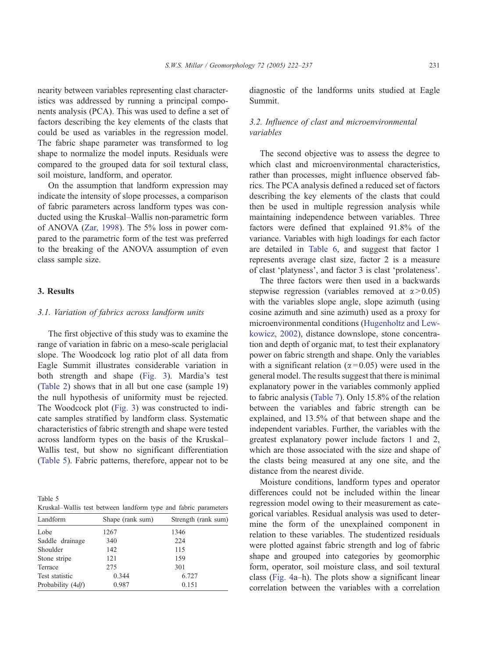nearity between variables representing clast characteristics was addressed by running a principal components analysis (PCA). This was used to define a set of factors describing the key elements of the clasts that could be used as variables in the regression model. The fabric shape parameter was transformed to log shape to normalize the model inputs. Residuals were compared to the grouped data for soil textural class, soil moisture, landform, and operator.

On the assumption that landform expression may indicate the intensity of slope processes, a comparison of fabric parameters across landform types was conducted using the Kruskal–Wallis non-parametric form of ANOVA ([Zar, 1998\)](#page-15-0). The 5% loss in power compared to the parametric form of the test was preferred to the breaking of the ANOVA assumption of even class sample size.

#### 3. Results

#### 3.1. Variation of fabrics across landform units

The first objective of this study was to examine the range of variation in fabric on a meso-scale periglacial slope. The Woodcock log ratio plot of all data from Eagle Summit illustrates considerable variation in both strength and shape ([Fig. 3\)](#page-6-0). Mardia's test ([Table 2\)](#page-3-0) shows that in all but one case (sample 19) the null hypothesis of uniformity must be rejected. The Woodcock plot ([Fig. 3\)](#page-6-0) was constructed to indicate samples stratified by landform class. Systematic characteristics of fabric strength and shape were tested across landform types on the basis of the Kruskal– Wallis test, but show no significant differentiation (Table 5). Fabric patterns, therefore, appear not to be

Table 5 Kruskal–Wallis test between landform type and fabric parameters

| Landform          | Shape (rank sum) | Strength (rank sum) |
|-------------------|------------------|---------------------|
| Lobe              | 1267             | 1346                |
| Saddle drainage   | 340              | 224                 |
| Shoulder          | 142              | 115                 |
| Stone stripe      | 121              | 159                 |
| Terrace           | 275              | 301                 |
| Test statistic    | 0.344            | 6.727               |
| Probability (4df) | 0.987            | 0.151               |

diagnostic of the landforms units studied at Eagle Summit.

# 3.2. Influence of clast and microenvironmental variables

The second objective was to assess the degree to which clast and microenvironmental characteristics, rather than processes, might influence observed fabrics. The PCA analysis defined a reduced set of factors describing the key elements of the clasts that could then be used in multiple regression analysis while maintaining independence between variables. Three factors were defined that explained 91.8% of the variance. Variables with high loadings for each factor are detailed in [Table 6,](#page-10-0) and suggest that factor 1 represents average clast size, factor 2 is a measure of clast 'platyness', and factor 3 is clast 'prolateness'.

The three factors were then used in a backwards stepwise regression (variables removed at  $\alpha$  > 0.05) with the variables slope angle, slope azimuth (using cosine azimuth and sine azimuth) used as a proxy for microenvironmental conditions ([Hugenholtz and Lew](#page-14-0)kowicz, 2002), distance downslope, stone concentration and depth of organic mat, to test their explanatory power on fabric strength and shape. Only the variables with a significant relation ( $\alpha$ =0.05) were used in the general model. The results suggest that there is minimal explanatory power in the variables commonly applied to fabric analysis ([Table 7\)](#page-10-0). Only 15.8% of the relation between the variables and fabric strength can be explained, and 13.5% of that between shape and the independent variables. Further, the variables with the greatest explanatory power include factors 1 and 2, which are those associated with the size and shape of the clasts being measured at any one site, and the distance from the nearest divide.

Moisture conditions, landform types and operator differences could not be included within the linear regression model owing to their measurement as categorical variables. Residual analysis was used to determine the form of the unexplained component in relation to these variables. The studentized residuals were plotted against fabric strength and log of fabric shape and grouped into categories by geomorphic form, operator, soil moisture class, and soil textural class ([Fig. 4a](#page-11-0)–h). The plots show a significant linear correlation between the variables with a correlation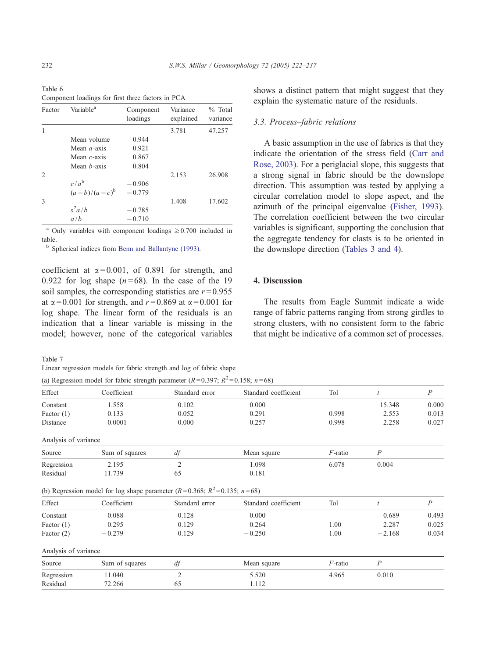<span id="page-10-0"></span>Table 6 Component loadings for first three factors in PCA

| Factor | Variable <sup>a</sup> | Component<br>loadings | Variance<br>explained | $%$ Total<br>variance |
|--------|-----------------------|-----------------------|-----------------------|-----------------------|
| 1      |                       |                       | 3.781                 | 47.257                |
|        | Mean volume           | 0.944                 |                       |                       |
|        | Mean $a$ -axis        | 0.921                 |                       |                       |
|        | Mean $c$ -axis        | 0.867                 |                       |                       |
|        | Mean $b-axis$         | 0.804                 |                       |                       |
| 2      |                       |                       | 2.153                 | 26.908                |
|        | $c/a^b$               | $-0.906$              |                       |                       |
|        | $(a-b)/(a-c)^{b}$     | $-0.779$              |                       |                       |
| 3      |                       |                       | 1.408                 | 17.602                |
|        | $s^2a/b$              | $-0.785$              |                       |                       |
|        | a/b                   | $-0.710$              |                       |                       |

<sup>a</sup> Only variables with component loadings  $\geq 0.700$  included in table

<sup>b</sup> Spherical indices from [Benn and Ballantyne \(1993\).](#page-14-0)

coefficient at  $\alpha = 0.001$ , of 0.891 for strength, and 0.922 for log shape  $(n=68)$ . In the case of the 19 soil samples, the corresponding statistics are  $r = 0.955$ at  $\alpha$  = 0.001 for strength, and r = 0.869 at  $\alpha$  = 0.001 for log shape. The linear form of the residuals is an indication that a linear variable is missing in the model; however, none of the categorical variables

Table 7 Linear regression models for fabric strength and log of fabric shape shows a distinct pattern that might suggest that they explain the systematic nature of the residuals.

#### 3.3. Process–fabric relations

A basic assumption in the use of fabrics is that they indicate the orientation of the stress field ([Carr and](#page-14-0) Rose, 2003). For a periglacial slope, this suggests that a strong signal in fabric should be the downslope direction. This assumption was tested by applying a circular correlation model to slope aspect, and the azimuth of the principal eigenvalue ([Fisher, 1993\)](#page-14-0). The correlation coefficient between the two circular variables is significant, supporting the conclusion that the aggregate tendency for clasts is to be oriented in the downslope direction ([Tables 3 and 4\)](#page-7-0).

## 4. Discussion

The results from Eagle Summit indicate a wide range of fabric patterns ranging from strong girdles to strong clusters, with no consistent form to the fabric that might be indicative of a common set of processes.

|                      | (a) Regression model for fabric strength parameter ( $R=0.397$ ; $R^2=0.158$ ; $n=68$ ) |                |                      |            |                  |                  |
|----------------------|-----------------------------------------------------------------------------------------|----------------|----------------------|------------|------------------|------------------|
| Effect               | Coefficient                                                                             | Standard error | Standard coefficient | Tol        | t                | $\boldsymbol{P}$ |
| Constant             | 1.558                                                                                   | 0.102          | 0.000                |            | 15.348           | 0.000            |
| Factor $(1)$         | 0.133                                                                                   | 0.052          | 0.291                | 0.998      | 2.553            | 0.013            |
| Distance             | 0.0001                                                                                  | 0.000          | 0.257                | 0.998      | 2.258            | 0.027            |
| Analysis of variance |                                                                                         |                |                      |            |                  |                  |
| Source               | Sum of squares                                                                          | df             | Mean square          | $F$ -ratio | $\boldsymbol{P}$ |                  |
| Regression           | 2.195                                                                                   | $\overline{2}$ | 1.098                | 6.078      | 0.004            |                  |
| Residual             | 11.739                                                                                  | 65             | 0.181                |            |                  |                  |
|                      | (b) Regression model for log shape parameter ( $R = 0.368$ ; $R^2 = 0.135$ ; $n = 68$ ) |                |                      |            |                  |                  |
| Effect               | Coefficient                                                                             | Standard error | Standard coefficient | Tol        | $\boldsymbol{t}$ | $\boldsymbol{P}$ |
| Constant             | 0.088                                                                                   | 0.128          | 0.000                |            | 0.689            | 0.493            |
| Factor $(1)$         | 0.295                                                                                   | 0.129          | 0.264                | 1.00       | 2.287            | 0.025            |
|                      |                                                                                         |                |                      |            |                  |                  |
| Factor $(2)$         | $-0.279$                                                                                | 0.129          | $-0.250$             | 1.00       | $-2.168$         | 0.034            |
| Analysis of variance |                                                                                         |                |                      |            |                  |                  |
| Source               | Sum of squares                                                                          | df             | Mean square          | $F$ -ratio | $\overline{P}$   |                  |
| Regression           | 11.040                                                                                  | $\overline{2}$ | 5.520                | 4.965      | 0.010            |                  |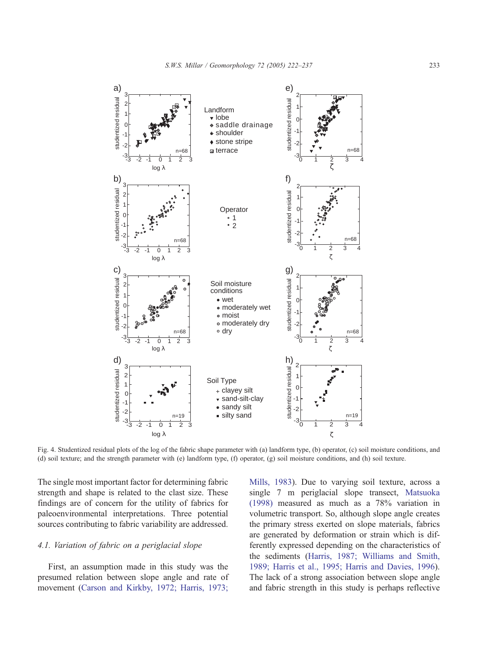<span id="page-11-0"></span>

Fig. 4. Studentized residual plots of the log of the fabric shape parameter with (a) landform type, (b) operator, (c) soil moisture conditions, and (d) soil texture; and the strength parameter with (e) landform type, (f) operator, (g) soil moisture conditions, and (h) soil texture.

The single most important factor for determining fabric strength and shape is related to the clast size. These findings are of concern for the utility of fabrics for paleoenvironmental interpretations. Three potential sources contributing to fabric variability are addressed.

## 4.1. Variation of fabric on a periglacial slope

First, an assumption made in this study was the presumed relation between slope angle and rate of movement ([Carson and Kirkby, 1972; Harris, 1973;](#page-14-0)

Mills, 1983). Due to varying soil texture, across a single 7 m periglacial slope transect, [Matsuoka](#page-15-0) (1998) measured as much as a 78% variation in volumetric transport. So, although slope angle creates the primary stress exerted on slope materials, fabrics are generated by deformation or strain which is differently expressed depending on the characteristics of the sediments ([Harris, 1987; Williams and Smith,](#page-14-0) 1989; Harris et al., 1995; Harris and Davies, 1996). The lack of a strong association between slope angle and fabric strength in this study is perhaps reflective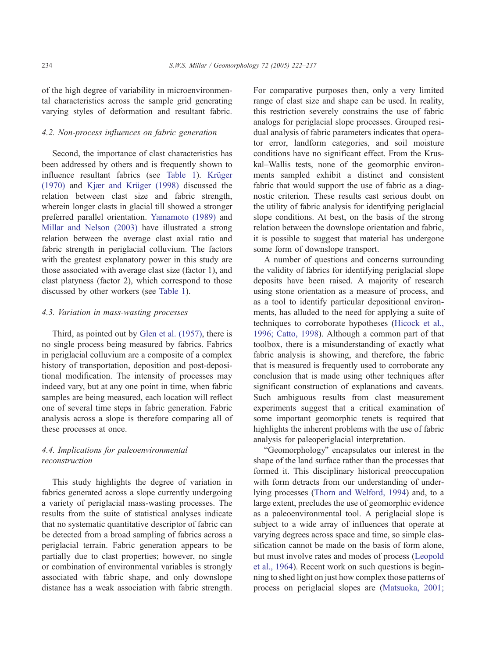of the high degree of variability in microenvironmental characteristics across the sample grid generating varying styles of deformation and resultant fabric.

## 4.2. Non-process influences on fabric generation

Second, the importance of clast characteristics has been addressed by others and is frequently shown to influence resultant fabrics (see [Table 1\)](#page-1-0). Krüger  $(1970)$  and Kjær and Krüger  $(1998)$  discussed the relation between clast size and fabric strength, wherein longer clasts in glacial till showed a stronger preferred parallel orientation. [Yamamoto \(1989\)](#page-15-0) and [Millar and Nelson \(2003\)](#page-15-0) have illustrated a strong relation between the average clast axial ratio and fabric strength in periglacial colluvium. The factors with the greatest explanatory power in this study are those associated with average clast size (factor 1), and clast platyness (factor 2), which correspond to those discussed by other workers (see [Table 1\)](#page-1-0).

## 4.3. Variation in mass-wasting processes

Third, as pointed out by [Glen et al. \(1957\),](#page-14-0) there is no single process being measured by fabrics. Fabrics in periglacial colluvium are a composite of a complex history of transportation, deposition and post-depositional modification. The intensity of processes may indeed vary, but at any one point in time, when fabric samples are being measured, each location will reflect one of several time steps in fabric generation. Fabric analysis across a slope is therefore comparing all of these processes at once.

# 4.4. Implications for paleoenvironmental reconstruction

This study highlights the degree of variation in fabrics generated across a slope currently undergoing a variety of periglacial mass-wasting processes. The results from the suite of statistical analyses indicate that no systematic quantitative descriptor of fabric can be detected from a broad sampling of fabrics across a periglacial terrain. Fabric generation appears to be partially due to clast properties; however, no single or combination of environmental variables is strongly associated with fabric shape, and only downslope distance has a weak association with fabric strength. For comparative purposes then, only a very limited range of clast size and shape can be used. In reality, this restriction severely constrains the use of fabric analogs for periglacial slope processes. Grouped residual analysis of fabric parameters indicates that operator error, landform categories, and soil moisture conditions have no significant effect. From the Kruskal–Wallis tests, none of the geomorphic environments sampled exhibit a distinct and consistent fabric that would support the use of fabric as a diagnostic criterion. These results cast serious doubt on the utility of fabric analysis for identifying periglacial slope conditions. At best, on the basis of the strong relation between the downslope orientation and fabric, it is possible to suggest that material has undergone some form of downslope transport.

A number of questions and concerns surrounding the validity of fabrics for identifying periglacial slope deposits have been raised. A majority of research using stone orientation as a measure of process, and as a tool to identify particular depositional environments, has alluded to the need for applying a suite of techniques to corroborate hypotheses ([Hicock et al.,](#page-14-0) 1996; Catto, 1998). Although a common part of that toolbox, there is a misunderstanding of exactly what fabric analysis is showing, and therefore, the fabric that is measured is frequently used to corroborate any conclusion that is made using other techniques after significant construction of explanations and caveats. Such ambiguous results from clast measurement experiments suggest that a critical examination of some important geomorphic tenets is required that highlights the inherent problems with the use of fabric analysis for paleoperiglacial interpretation.

"Geomorphology" encapsulates our interest in the shape of the land surface rather than the processes that formed it. This disciplinary historical preoccupation with form detracts from our understanding of underlying processes ([Thorn and Welford, 1994\)](#page-15-0) and, to a large extent, precludes the use of geomorphic evidence as a paleoenvironmental tool. A periglacial slope is subject to a wide array of influences that operate at varying degrees across space and time, so simple classification cannot be made on the basis of form alone, but must involve rates and modes of process ([Leopold](#page-14-0) et al., 1964). Recent work on such questions is beginning to shed light on just how complex those patterns of process on periglacial slopes are ([Matsuoka, 2001;](#page-15-0)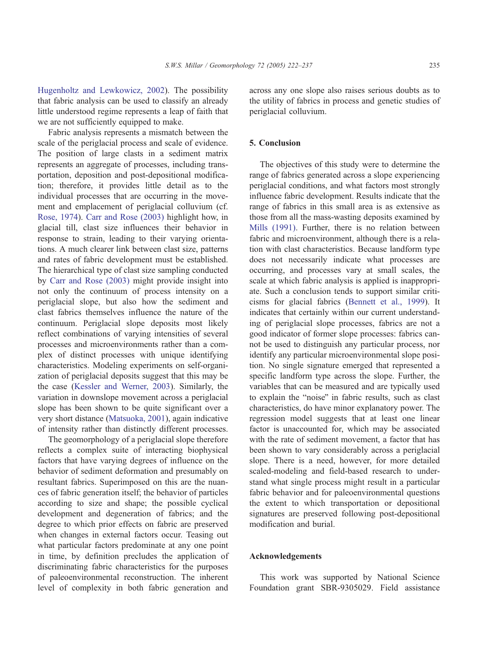Hugenholtz and Lewkowicz, 2002). The possibility that fabric analysis can be used to classify an already little understood regime represents a leap of faith that we are not sufficiently equipped to make.

Fabric analysis represents a mismatch between the scale of the periglacial process and scale of evidence. The position of large clasts in a sediment matrix represents an aggregate of processes, including transportation, deposition and post-depositional modification; therefore, it provides little detail as to the individual processes that are occurring in the movement and emplacement of periglacial colluvium (cf. [Rose, 1974](#page-15-0)). [Carr and Rose \(2003\)](#page-14-0) highlight how, in glacial till, clast size influences their behavior in response to strain, leading to their varying orientations. A much clearer link between clast size, patterns and rates of fabric development must be established. The hierarchical type of clast size sampling conducted by [Carr and Rose \(2003\)](#page-14-0) might provide insight into not only the continuum of process intensity on a periglacial slope, but also how the sediment and clast fabrics themselves influence the nature of the continuum. Periglacial slope deposits most likely reflect combinations of varying intensities of several processes and microenvironments rather than a complex of distinct processes with unique identifying characteristics. Modeling experiments on self-organization of periglacial deposits suggest that this may be the case ([Kessler and Werner, 2003\)](#page-14-0). Similarly, the variation in downslope movement across a periglacial slope has been shown to be quite significant over a very short distance ([Matsuoka, 2001\)](#page-15-0), again indicative of intensity rather than distinctly different processes.

The geomorphology of a periglacial slope therefore reflects a complex suite of interacting biophysical factors that have varying degrees of influence on the behavior of sediment deformation and presumably on resultant fabrics. Superimposed on this are the nuances of fabric generation itself; the behavior of particles according to size and shape; the possible cyclical development and degeneration of fabrics; and the degree to which prior effects on fabric are preserved when changes in external factors occur. Teasing out what particular factors predominate at any one point in time, by definition precludes the application of discriminating fabric characteristics for the purposes of paleoenvironmental reconstruction. The inherent level of complexity in both fabric generation and across any one slope also raises serious doubts as to the utility of fabrics in process and genetic studies of periglacial colluvium.

## 5. Conclusion

The objectives of this study were to determine the range of fabrics generated across a slope experiencing periglacial conditions, and what factors most strongly influence fabric development. Results indicate that the range of fabrics in this small area is as extensive as those from all the mass-wasting deposits examined by [Mills \(1991\).](#page-15-0) Further, there is no relation between fabric and microenvironment, although there is a relation with clast characteristics. Because landform type does not necessarily indicate what processes are occurring, and processes vary at small scales, the scale at which fabric analysis is applied is inappropriate. Such a conclusion tends to support similar criticisms for glacial fabrics ([Bennett et al., 1999\)](#page-14-0). It indicates that certainly within our current understanding of periglacial slope processes, fabrics are not a good indicator of former slope processes: fabrics cannot be used to distinguish any particular process, nor identify any particular microenvironmental slope position. No single signature emerged that represented a specific landform type across the slope. Further, the variables that can be measured and are typically used to explain the "noise" in fabric results, such as clast characteristics, do have minor explanatory power. The regression model suggests that at least one linear factor is unaccounted for, which may be associated with the rate of sediment movement, a factor that has been shown to vary considerably across a periglacial slope. There is a need, however, for more detailed scaled-modeling and field-based research to understand what single process might result in a particular fabric behavior and for paleoenvironmental questions the extent to which transportation or depositional signatures are preserved following post-depositional modification and burial.

## Acknowledgements

This work was supported by National Science Foundation grant SBR-9305029. Field assistance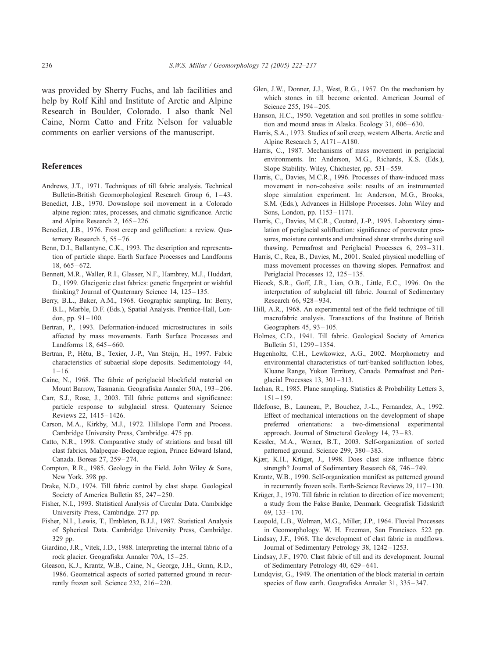<span id="page-14-0"></span>was provided by Sherry Fuchs, and lab facilities and help by Rolf Kihl and Institute of Arctic and Alpine Research in Boulder, Colorado. I also thank Nel Caine, Norm Catto and Fritz Nelson for valuable comments on earlier versions of the manuscript.

#### References

- Andrews, J.T., 1971. Techniques of till fabric analysis. Technical Bulletin-British Geomorphological Research Group 6, 1–43.
- Benedict, J.B., 1970. Downslope soil movement in a Colorado alpine region: rates, processes, and climatic significance. Arctic and Alpine Research 2, 165 – 226.
- Benedict, J.B., 1976. Frost creep and gelifluction: a review. Quaternary Research 5, 55-76.
- Benn, D.I., Ballantyne, C.K., 1993. The description and representation of particle shape. Earth Surface Processes and Landforms 18, 665 – 672.
- Bennett, M.R., Waller, R.I., Glasser, N.F., Hambrey, M.J., Huddart, D., 1999. Glacigenic clast fabrics: genetic fingerprint or wishful thinking? Journal of Quaternary Science 14, 125 – 135.
- Berry, B.L., Baker, A.M., 1968. Geographic sampling. In: Berry, B.L., Marble, D.F. (Eds.), Spatial Analysis. Prentice-Hall, London, pp.  $91 - 100$ .
- Bertran, P., 1993. Deformation-induced microstructures in soils affected by mass movements. Earth Surface Processes and Landforms 18, 645-660.
- Bertran, P., Hétu, B., Texier, J.-P., Van Steijn, H., 1997. Fabric characteristics of subaerial slope deposits. Sedimentology 44,  $1 - 16$ .
- Caine, N., 1968. The fabric of periglacial blockfield material on Mount Barrow, Tasmania. Geografiska Annaler 50A, 193 – 206.
- Carr, S.J., Rose, J., 2003. Till fabric patterns and significance: particle response to subglacial stress. Quaternary Science Reviews 22, 1415 – 1426.
- Carson, M.A., Kirkby, M.J., 1972. Hillslope Form and Process. Cambridge University Press, Cambridge. 475 pp.
- Catto, N.R., 1998. Comparative study of striations and basal till clast fabrics, Malpeque–Bedeque region, Prince Edward Island, Canada. Boreas 27, 259-274.
- Compton, R.R., 1985. Geology in the Field. John Wiley & Sons, New York. 398 pp.
- Drake, N.D., 1974. Till fabric control by clast shape. Geological Society of America Bulletin 85, 247-250.
- Fisher, N.I., 1993. Statistical Analysis of Circular Data. Cambridge University Press, Cambridge. 277 pp.
- Fisher, N.I., Lewis, T., Embleton, B.J.J., 1987. Statistical Analysis of Spherical Data. Cambridge University Press, Cambridge. 329 pp.
- Giardino, J.R., Vitek, J.D., 1988. Interpreting the internal fabric of a rock glacier. Geografiska Annaler 70A, 15 – 25.
- Gleason, K.J., Krantz, W.B., Caine, N., George, J.H., Gunn, R.D., 1986. Geometrical aspects of sorted patterned ground in recurrently frozen soil. Science 232, 216 – 220.
- Glen, J.W., Donner, J.J., West, R.G., 1957. On the mechanism by which stones in till become oriented. American Journal of Science 255, 194-205.
- Hanson, H.C., 1950. Vegetation and soil profiles in some soliflcution and mound areas in Alaska. Ecology 31, 606-630.
- Harris, S.A., 1973. Studies of soil creep, western Alberta. Arctic and Alpine Research 5, A171 –A180.
- Harris, C., 1987. Mechanisms of mass movement in periglacial environments. In: Anderson, M.G., Richards, K.S. (Eds.), Slope Stability. Wiley, Chichester, pp. 531-559.
- Harris, C., Davies, M.C.R., 1996. Processes of thaw-induced mass movement in non-cohesive soils: results of an instrumented slope simulation experiment. In: Anderson, M.G., Brooks, S.M. (Eds.), Advances in Hillslope Processes. John Wiley and Sons, London, pp. 1153 – 1171.
- Harris, C., Davies, M.C.R., Coutard, J.-P., 1995. Laboratory simulation of periglacial solifluction: significance of porewater pressures, moisture contents and undrained shear strenths during soil thawing. Permafrost and Periglacial Processes 6, 293-311.
- Harris, C., Rea, B., Davies, M., 2001. Scaled physical modelling of mass movement processes on thawing slopes. Permafrost and Periglacial Processes 12, 125-135.
- Hicock, S.R., Goff, J.R., Lian, O.B., Little, E.C., 1996. On the interpretation of subglacial till fabric. Journal of Sedimentary Research 66, 928 – 934.
- Hill, A.R., 1968. An experimental test of the field technique of till macrofabric analysis. Transactions of the Institute of British Geographers  $45, 93 - 105$ .
- Holmes, C.D., 1941. Till fabric. Geological Society of America Bulletin 51, 1299 – 1354.
- Hugenholtz, C.H., Lewkowicz, A.G., 2002. Morphometry and environmental characteristics of turf-banked solifluction lobes, Kluane Range, Yukon Territory, Canada. Permafrost and Periglacial Processes  $13, 301 - 313$ .
- Iachan, R., 1985. Plane sampling. Statistics & Probability Letters 3,  $151 - 159$ .
- Ildefonse, B., Launeau, P., Bouchez, J.-L., Fernandez, A., 1992. Effect of mechanical interactions on the development of shape preferred orientations: a two-dimensional experimental approach. Journal of Structural Geology 14, 73 – 83.
- Kessler, M.A., Werner, B.T., 2003. Self-organization of sorted patterned ground. Science 299, 380-383.
- Kjær, K.H., Krüger, J., 1998. Does clast size influence fabric strength? Journal of Sedimentary Research 68, 746-749.
- Krantz, W.B., 1990. Self-organization manifest as patterned ground in recurrently frozen soils. Earth-Science Reviews 29, 117 – 130.
- Krüger, J., 1970. Till fabric in relation to direction of ice movement; a study from the Fakse Banke, Denmark. Geografisk Tidsskrift 69, 133 – 170.
- Leopold, L.B., Wolman, M.G., Miller, J.P., 1964. Fluvial Processes in Geomorphology. W. H. Freeman, San Francisco. 522 pp.
- Lindsay, J.F., 1968. The development of clast fabric in mudflows. Journal of Sedimentary Petrology 38, 1242 – 1253.
- Lindsay, J.F., 1970. Clast fabric of till and its development. Journal of Sedimentary Petrology 40, 629 – 641.
- Lundqvist, G., 1949. The orientation of the block material in certain species of flow earth. Geografiska Annaler 31, 335-347.